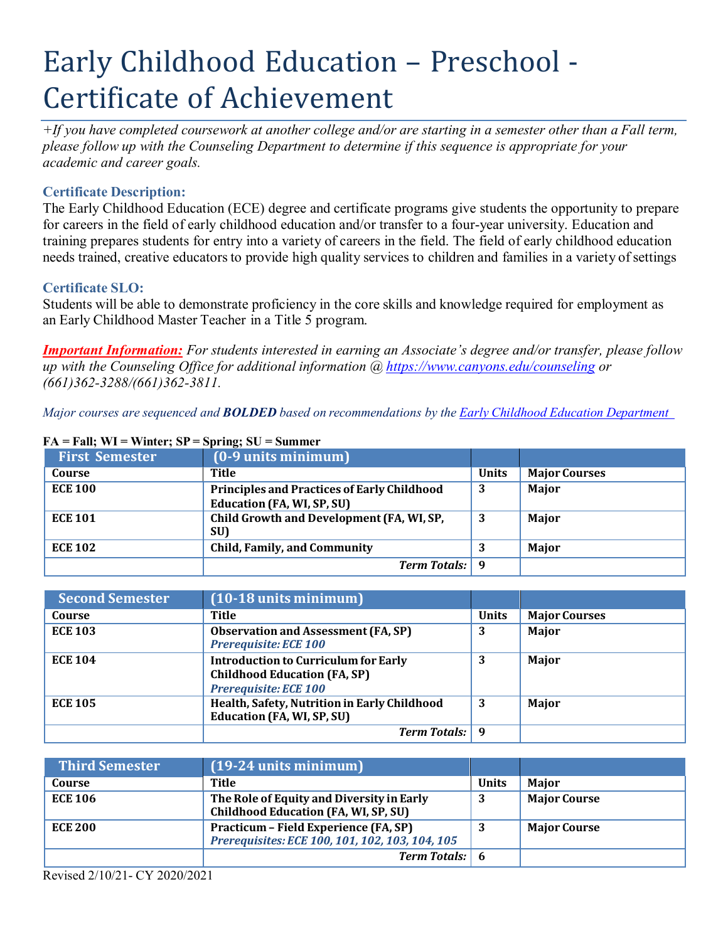# Early Childhood Education – Preschool - Certificate of Achievement

 $+$ If you have completed coursework at another college and/or are starting in a semester other than a Fall term, *please follow up with the Counseling Department to determine if this sequence is appropriate for your academic and career goals.*

# **Certificate Description:**

The Early Childhood Education (ECE) degree and certificate programs give students the opportunity to prepare for careers in the field of early childhood education and/or transfer to a four-year university. Education and training prepares students for entry into a variety of careers in the field. The field of early childhood education needs trained, creative educators to provide high quality services to children and families in a variety of settings

## **Certificate SLO:**

Students will be able to demonstrate proficiency in the core skills and knowledge required for employment as an Early Childhood Master Teacher in a Title 5 program.

*Important Information: For students interested in earning an Associate's degree and/or transfer, please follow up with the Counseling Office for additional information @ https:/[/www.canyons.edu/counseling](http://www.canyons.edu/counseling) or (661)362-3288/(661)362-3811.*

*Major courses are sequenced and BOLDED based on recommendations by the Early Childhood Education Department* 

| <b>First Semester</b> | (0-9 units minimum)                                                                     |              |                      |
|-----------------------|-----------------------------------------------------------------------------------------|--------------|----------------------|
| Course                | Title                                                                                   | <b>Units</b> | <b>Major Courses</b> |
| <b>ECE 100</b>        | <b>Principles and Practices of Early Childhood</b><br><b>Education (FA, WI, SP, SU)</b> | 3            | Major                |
| <b>ECE 101</b>        | Child Growth and Development (FA, WI, SP,<br>SU)                                        | 3            | Major                |
| <b>ECE 102</b>        | <b>Child, Family, and Community</b>                                                     |              | <b>Major</b>         |
|                       | <b>Term Totals:</b>                                                                     | q            |                      |

#### $FA = Fall$ ;  $WI = Winter$ ;  $SP = Spring$ ;  $SU = Summer$

| <b>Second Semester</b> | $(10-18$ units minimum)                                                                                     |              |                      |
|------------------------|-------------------------------------------------------------------------------------------------------------|--------------|----------------------|
| Course                 | Title                                                                                                       | <b>Units</b> | <b>Major Courses</b> |
| <b>ECE 103</b>         | <b>Observation and Assessment (FA, SP)</b><br><b>Prerequisite: ECE 100</b>                                  | 3            | Major                |
| <b>ECE 104</b>         | <b>Introduction to Curriculum for Early</b><br><b>Childhood Education (FA, SP)</b><br>Prerequisite: ECE 100 | 3            | Major                |
| <b>ECE 105</b>         | Health, Safety, Nutrition in Early Childhood<br><b>Education (FA, WI, SP, SU)</b>                           | 3            | Major                |
|                        | <b>Term Totals:</b>                                                                                         | q            |                      |

| <b>Third Semester</b> | $(19-24$ units minimum)                                                                  |              |                     |
|-----------------------|------------------------------------------------------------------------------------------|--------------|---------------------|
| Course                | Title                                                                                    | <b>Units</b> | <b>Maior</b>        |
| <b>ECE 106</b>        | The Role of Equity and Diversity in Early<br>Childhood Education (FA, WI, SP, SU)        | 3            | <b>Major Course</b> |
| <b>ECE 200</b>        | Practicum – Field Experience (FA, SP)<br>Prerequisites: ECE 100, 101, 102, 103, 104, 105 |              | <b>Major Course</b> |
|                       | Term Totals: 6                                                                           |              |                     |